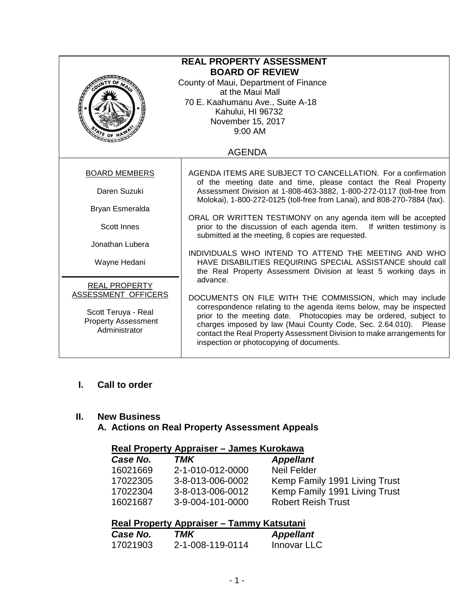| <b>REAL PROPERTY ASSESSMENT</b><br><b>BOARD OF REVIEW</b><br>County of Maui, Department of Finance<br>at the Maui Mall<br>70 E. Kaahumanu Ave., Suite A-18<br>Kahului, HI 96732<br>November 15, 2017<br>9:00 AM<br>ATE OF H |                                                                                                                                                                                                                                                                                                                                                                                                            |  |
|-----------------------------------------------------------------------------------------------------------------------------------------------------------------------------------------------------------------------------|------------------------------------------------------------------------------------------------------------------------------------------------------------------------------------------------------------------------------------------------------------------------------------------------------------------------------------------------------------------------------------------------------------|--|
|                                                                                                                                                                                                                             | <b>AGENDA</b>                                                                                                                                                                                                                                                                                                                                                                                              |  |
| <b>BOARD MEMBERS</b>                                                                                                                                                                                                        | AGENDA ITEMS ARE SUBJECT TO CANCELLATION. For a confirmation<br>of the meeting date and time, please contact the Real Property                                                                                                                                                                                                                                                                             |  |
| Daren Suzuki                                                                                                                                                                                                                | Assessment Division at 1-808-463-3882, 1-800-272-0117 (toll-free from<br>Molokai), 1-800-272-0125 (toll-free from Lanai), and 808-270-7884 (fax).                                                                                                                                                                                                                                                          |  |
| Bryan Esmeralda                                                                                                                                                                                                             |                                                                                                                                                                                                                                                                                                                                                                                                            |  |
| <b>Scott Innes</b>                                                                                                                                                                                                          | ORAL OR WRITTEN TESTIMONY on any agenda item will be accepted<br>prior to the discussion of each agenda item. If written testimony is<br>submitted at the meeting, 8 copies are requested.                                                                                                                                                                                                                 |  |
| Jonathan Lubera                                                                                                                                                                                                             | INDIVIDUALS WHO INTEND TO ATTEND THE MEETING AND WHO                                                                                                                                                                                                                                                                                                                                                       |  |
| Wayne Hedani                                                                                                                                                                                                                | HAVE DISABILITIES REQUIRING SPECIAL ASSISTANCE should call<br>the Real Property Assessment Division at least 5 working days in                                                                                                                                                                                                                                                                             |  |
| <b>REAL PROPERTY</b><br>ASSESSMENT OFFICERS<br>Scott Teruya - Real<br><b>Property Assessment</b><br>Administrator                                                                                                           | advance.<br>DOCUMENTS ON FILE WITH THE COMMISSION, which may include<br>correspondence relating to the agenda items below, may be inspected<br>prior to the meeting date. Photocopies may be ordered, subject to<br>charges imposed by law (Maui County Code, Sec. 2.64.010). Please<br>contact the Real Property Assessment Division to make arrangements for<br>inspection or photocopying of documents. |  |

#### **I. Call to order**

#### **II. New Business**

## **A. Actions on Real Property Assessment Appeals**

## **Real Property Appraiser – James Kurokawa**

| Case No. | TMK              | <b>Appellant</b>              |
|----------|------------------|-------------------------------|
| 16021669 | 2-1-010-012-0000 | Neil Felder                   |
| 17022305 | 3-8-013-006-0002 | Kemp Family 1991 Living Trust |
| 17022304 | 3-8-013-006-0012 | Kemp Family 1991 Living Trust |
| 16021687 | 3-9-004-101-0000 | <b>Robert Reish Trust</b>     |

# **Real Property Appraiser – Tammy Katsutani**

| Case No. | TMK              | <b>Appellant</b> |
|----------|------------------|------------------|
| 17021903 | 2-1-008-119-0114 | Innovar LLC      |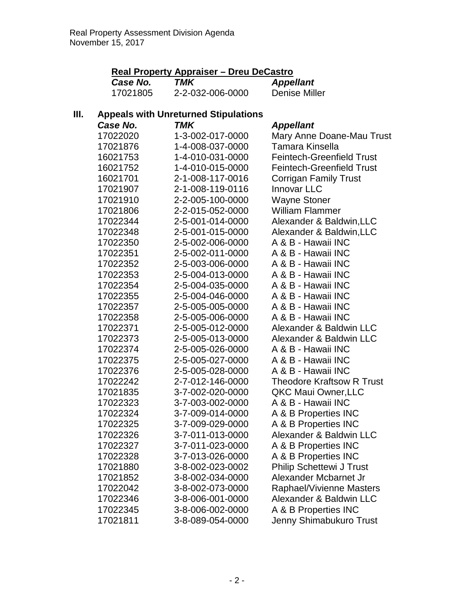|      | Real Property Appraiser - Dreu DeCastro |                                             |                                  |
|------|-----------------------------------------|---------------------------------------------|----------------------------------|
|      | Case No.                                | <b>TMK</b>                                  | <b>Appellant</b>                 |
|      | 17021805                                | 2-2-032-006-0000                            | <b>Denise Miller</b>             |
| III. |                                         | <b>Appeals with Unreturned Stipulations</b> |                                  |
|      | Case No.                                | TMK                                         | <b>Appellant</b>                 |
|      | 17022020                                | 1-3-002-017-0000                            | Mary Anne Doane-Mau Trust        |
|      | 17021876                                | 1-4-008-037-0000                            | Tamara Kinsella                  |
|      | 16021753                                | 1-4-010-031-0000                            | <b>Feintech-Greenfield Trust</b> |
|      | 16021752                                | 1-4-010-015-0000                            | <b>Feintech-Greenfield Trust</b> |
|      | 16021701                                | 2-1-008-117-0016                            | <b>Corrigan Family Trust</b>     |
|      | 17021907                                | 2-1-008-119-0116                            | <b>Innovar LLC</b>               |
|      | 17021910                                | 2-2-005-100-0000                            | <b>Wayne Stoner</b>              |
|      | 17021806                                | 2-2-015-052-0000                            | <b>William Flammer</b>           |
|      | 17022344                                | 2-5-001-014-0000                            | Alexander & Baldwin, LLC         |
|      | 17022348                                | 2-5-001-015-0000                            | Alexander & Baldwin, LLC         |
|      | 17022350                                | 2-5-002-006-0000                            | A & B - Hawaii INC               |
|      | 17022351                                | 2-5-002-011-0000                            | A & B - Hawaii INC               |
|      | 17022352                                | 2-5-003-006-0000                            | A & B - Hawaii INC               |
|      | 17022353                                | 2-5-004-013-0000                            | A & B - Hawaii INC               |
|      | 17022354                                | 2-5-004-035-0000                            | A & B - Hawaii INC               |
|      | 17022355                                | 2-5-004-046-0000                            | A & B - Hawaii INC               |
|      | 17022357                                | 2-5-005-005-0000                            | A & B - Hawaii INC               |
|      | 17022358                                | 2-5-005-006-0000                            | A & B - Hawaii INC               |
|      | 17022371                                | 2-5-005-012-0000                            | Alexander & Baldwin LLC          |
|      | 17022373                                | 2-5-005-013-0000                            | Alexander & Baldwin LLC          |
|      | 17022374                                | 2-5-005-026-0000                            | A & B - Hawaii INC               |
|      | 17022375                                | 2-5-005-027-0000                            | A & B - Hawaii INC               |
|      | 17022376                                | 2-5-005-028-0000                            | A & B - Hawaii INC               |
|      | 17022242                                | 2-7-012-146-0000                            | <b>Theodore Kraftsow R Trust</b> |
|      | 17021835                                | 3-7-002-020-0000                            | QKC Maui Owner, LLC              |
|      | 17022323                                | 3-7-003-002-0000                            | A & B - Hawaii INC               |
|      | 17022324                                | 3-7-009-014-0000                            | A & B Properties INC             |
|      | 17022325                                | 3-7-009-029-0000                            | A & B Properties INC             |
|      | 17022326                                | 3-7-011-013-0000                            | Alexander & Baldwin LLC          |
|      | 17022327                                | 3-7-011-023-0000                            | A & B Properties INC             |
|      | 17022328                                | 3-7-013-026-0000                            | A & B Properties INC             |
|      | 17021880                                | 3-8-002-023-0002                            | <b>Philip Schettewi J Trust</b>  |
|      | 17021852                                | 3-8-002-034-0000                            | Alexander Mcbarnet Jr            |
|      | 17022042                                | 3-8-002-073-0000                            | Raphael/Vivienne Masters         |
|      | 17022346                                | 3-8-006-001-0000                            | Alexander & Baldwin LLC          |
|      | 17022345                                | 3-8-006-002-0000                            | A & B Properties INC             |
|      | 17021811                                | 3-8-089-054-0000                            | Jenny Shimabukuro Trust          |